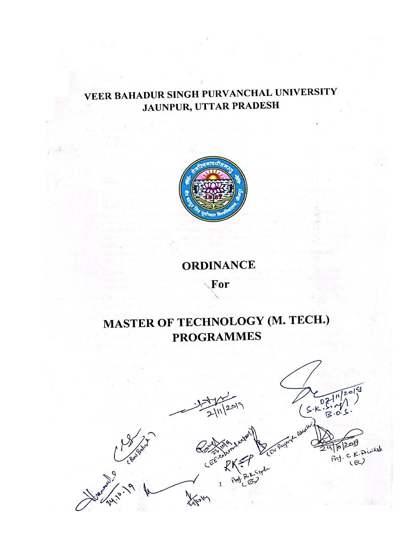## VEER BAHADUR SINGH PURVANCHAL UNIVERSITY JAUNPUR, UTTAR PRADESH



## **ORDINANCE** For

# MASTER OF TECHNOLOGY (M. TECH.) **PROGRAMMES**

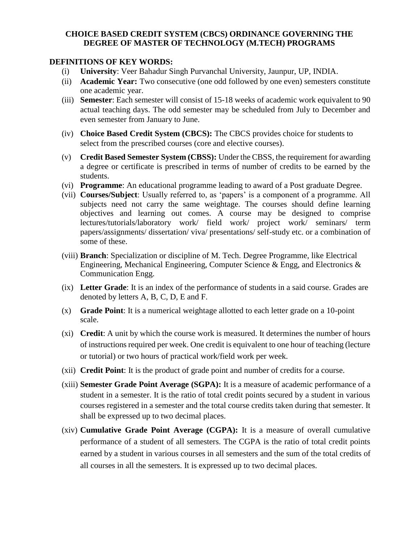#### **CHOICE BASED CREDIT SYSTEM (CBCS) ORDINANCE GOVERNING THE DEGREE OF MASTER OF TECHNOLOGY (M.TECH) PROGRAMS**

#### **DEFINITIONS OF KEY WORDS:**

- (i) **University**: Veer Bahadur Singh Purvanchal University, Jaunpur, UP, INDIA.
- (ii) **Academic Year:** Two consecutive (one odd followed by one even) semesters constitute one academic year.
- (iii) **Semester**: Each semester will consist of 15-18 weeks of academic work equivalent to 90 actual teaching days. The odd semester may be scheduled from July to December and even semester from January to June.
- (iv) **Choice Based Credit System (CBCS):** The CBCS provides choice for students to select from the prescribed courses (core and elective courses).
- (v) **Credit Based Semester System (CBSS):** Under the CBSS, the requirement for awarding a degree or certificate is prescribed in terms of number of credits to be earned by the students.
- (vi) **Programme**: An educational programme leading to award of a Post graduate Degree.
- (vii) **Courses/Subject**: Usually referred to, as 'papers' is a component of a programme. All subjects need not carry the same weightage. The courses should define learning objectives and learning out comes. A course may be designed to comprise lectures/tutorials/laboratory work/ field work/ project work/ seminars/ term papers/assignments/ dissertation/ viva/ presentations/ self-study etc. or a combination of some of these.
- (viii) **Branch**: Specialization or discipline of M. Tech. Degree Programme, like Electrical Engineering, Mechanical Engineering, Computer Science & Engg, and Electronics & Communication Engg.
- (ix) **Letter Grade**: It is an index of the performance of students in a said course. Grades are denoted by letters A, B, C, D, E and F.
- (x) **Grade Point**: It is a numerical weightage allotted to each letter grade on a 10-point scale.
- (xi) **Credit**: A unit by which the course work is measured. It determines the number of hours of instructions required per week. One credit is equivalent to one hour of teaching (lecture or tutorial) or two hours of practical work/field work per week.
- (xii) **Credit Point**: It is the product of grade point and number of credits for a course.
- (xiii) **Semester Grade Point Average (SGPA):** It is a measure of academic performance of a student in a semester. It is the ratio of total credit points secured by a student in various courses registered in a semester and the total course credits taken during that semester. It shall be expressed up to two decimal places.
- (xiv) **Cumulative Grade Point Average (CGPA):** It is a measure of overall cumulative performance of a student of all semesters. The CGPA is the ratio of total credit points earned by a student in various courses in all semesters and the sum of the total credits of all courses in all the semesters. It is expressed up to two decimal places.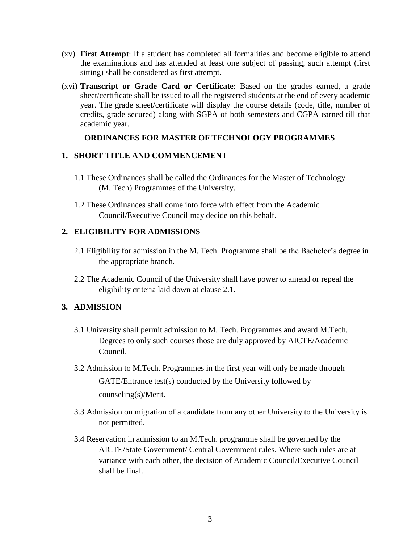- (xv) **First Attempt**: If a student has completed all formalities and become eligible to attend the examinations and has attended at least one subject of passing, such attempt (first sitting) shall be considered as first attempt.
- (xvi) **Transcript or Grade Card or Certificate**: Based on the grades earned, a grade sheet/certificate shall be issued to all the registered students at the end of every academic year. The grade sheet/certificate will display the course details (code, title, number of credits, grade secured) along with SGPA of both semesters and CGPA earned till that academic year.

## **ORDINANCES FOR MASTER OF TECHNOLOGY PROGRAMMES**

## **1. SHORT TITLE AND COMMENCEMENT**

- 1.1 These Ordinances shall be called the Ordinances for the Master of Technology (M. Tech) Programmes of the University.
- 1.2 These Ordinances shall come into force with effect from the Academic Council/Executive Council may decide on this behalf.

## **2. ELIGIBILITY FOR ADMISSIONS**

- 2.1 Eligibility for admission in the M. Tech. Programme shall be the Bachelor's degree in the appropriate branch.
- 2.2 The Academic Council of the University shall have power to amend or repeal the eligibility criteria laid down at clause 2.1.

## **3. ADMISSION**

- 3.1 University shall permit admission to M. Tech. Programmes and award M.Tech. Degrees to only such courses those are duly approved by AICTE/Academic Council.
- 3.2 Admission to M.Tech. Programmes in the first year will only be made through GATE/Entrance test(s) conducted by the University followed by counseling(s)/Merit.
- 3.3 Admission on migration of a candidate from any other University to the University is not permitted.
- 3.4 Reservation in admission to an M.Tech. programme shall be governed by the AICTE/State Government/ Central Government rules. Where such rules are at variance with each other, the decision of Academic Council/Executive Council shall be final.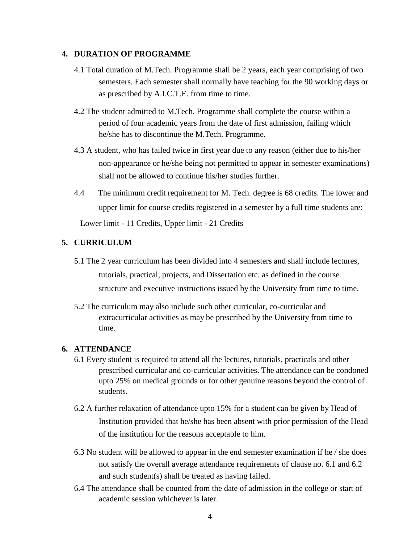#### **4. DURATION OF PROGRAMME**

- 4.1 Total duration of M.Tech. Programme shall be 2 years, each year comprising of two semesters. Each semester shall normally have teaching for the 90 working days or as prescribed by A.I.C.T.E. from time to time.
- 4.2 The student admitted to M.Tech. Programme shall complete the course within a period of four academic years from the date of first admission, failing which he/she has to discontinue the M.Tech. Programme.
- 4.3 A student, who has failed twice in first year due to any reason (either due to his/her non-appearance or he/she being not permitted to appear in semester examinations) shall not be allowed to continue his/her studies further.
- 4.4 The minimum credit requirement for M. Tech. degree is 68 credits. The lower and upper limit for course credits registered in a semester by a full time students are: Lower limit - 11 Credits, Upper limit - 21 Credits

#### **5. CURRICULUM**

- 5.1 The 2 year curriculum has been divided into 4 semesters and shall include lectures, tutorials, practical, projects, and Dissertation etc. as defined in the course structure and executive instructions issued by the University from time to time.
- 5.2 The curriculum may also include such other curricular, co-curricular and extracurricular activities as may be prescribed by the University from time to time.

#### **6. ATTENDANCE**

- 6.1 Every student is required to attend all the lectures, tutorials, practicals and other prescribed curricular and co-curricular activities. The attendance can be condoned upto 25% on medical grounds or for other genuine reasons beyond the control of students.
- 6.2 A further relaxation of attendance upto 15% for a student can be given by Head of Institution provided that he/she has been absent with prior permission of the Head of the institution for the reasons acceptable to him.
- 6.3 No student will be allowed to appear in the end semester examination if he / she does not satisfy the overall average attendance requirements of clause no. 6.1 and 6.2 and such student(s) shall be treated as having failed.
- 6.4 The attendance shall be counted from the date of admission in the college or start of academic session whichever is later.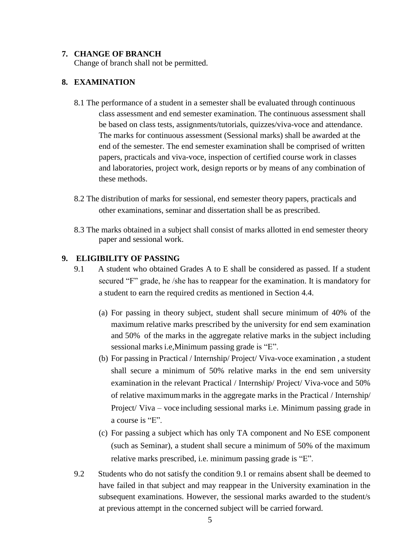#### **7. CHANGE OF BRANCH**

Change of branch shall not be permitted.

#### **8. EXAMINATION**

- 8.1 The performance of a student in a semester shall be evaluated through continuous class assessment and end semester examination. The continuous assessment shall be based on class tests, assignments/tutorials, quizzes/viva-voce and attendance. The marks for continuous assessment (Sessional marks) shall be awarded at the end of the semester. The end semester examination shall be comprised of written papers, practicals and viva-voce, inspection of certified course work in classes and laboratories, project work, design reports or by means of any combination of these methods.
- 8.2 The distribution of marks for sessional, end semester theory papers, practicals and other examinations, seminar and dissertation shall be as prescribed.
- 8.3 The marks obtained in a subject shall consist of marks allotted in end semester theory paper and sessional work.

#### **9. ELIGIBILITY OF PASSING**

- 9.1 A student who obtained Grades A to E shall be considered as passed. If a student secured "F" grade, he /she has to reappear for the examination. It is mandatory for a student to earn the required credits as mentioned in Section 4.4.
	- (a) For passing in theory subject, student shall secure minimum of 40% of the maximum relative marks prescribed by the university for end sem examination and 50% of the marks in the aggregate relative marks in the subject including sessional marks i.e,Minimum passing grade is "E".
	- (b) For passing in Practical / Internship/ Project/ Viva-voce examination , a student shall secure a minimum of 50% relative marks in the end sem university examination in the relevant Practical / Internship/ Project/ Viva-voce and 50% of relative maximummarks in the aggregate marks in the Practical / Internship/ Project/ Viva – voce including sessional marks i.e. Minimum passing grade in a course is "E".
	- (c) For passing a subject which has only TA component and No ESE component (such as Seminar), a student shall secure a minimum of 50% of the maximum relative marks prescribed, i.e. minimum passing grade is "E".
- 9.2 Students who do not satisfy the condition 9.1 or remains absent shall be deemed to have failed in that subject and may reappear in the University examination in the subsequent examinations. However, the sessional marks awarded to the student/s at previous attempt in the concerned subject will be carried forward.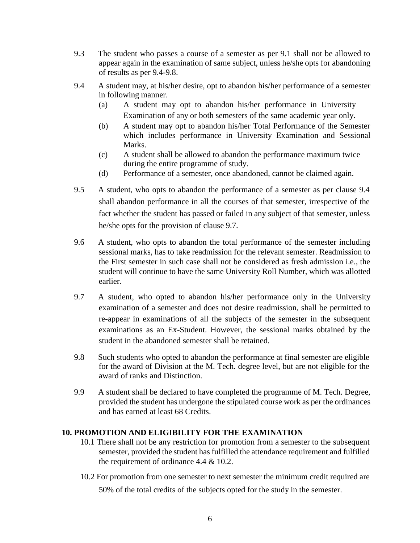- 9.3 The student who passes a course of a semester as per 9.1 shall not be allowed to appear again in the examination of same subject, unless he/she opts for abandoning of results as per 9.4-9.8.
- 9.4 A student may, at his/her desire, opt to abandon his/her performance of a semester in following manner.
	- (a) A student may opt to abandon his/her performance in University Examination of any or both semesters of the same academic year only.
	- (b) A student may opt to abandon his/her Total Performance of the Semester which includes performance in University Examination and Sessional Marks.
	- (c) A student shall be allowed to abandon the performance maximum twice during the entire programme of study.
	- (d) Performance of a semester, once abandoned, cannot be claimed again.
- 9.5 A student, who opts to abandon the performance of a semester as per clause 9.4 shall abandon performance in all the courses of that semester, irrespective of the fact whether the student has passed or failed in any subject of that semester, unless he/she opts for the provision of clause 9.7.
- 9.6 A student, who opts to abandon the total performance of the semester including sessional marks, has to take readmission for the relevant semester. Readmission to the First semester in such case shall not be considered as fresh admission i.e., the student will continue to have the same University Roll Number, which was allotted earlier.
- 9.7 A student, who opted to abandon his/her performance only in the University examination of a semester and does not desire readmission, shall be permitted to re-appear in examinations of all the subjects of the semester in the subsequent examinations as an Ex-Student. However, the sessional marks obtained by the student in the abandoned semester shall be retained.
- 9.8 Such students who opted to abandon the performance at final semester are eligible for the award of Division at the M. Tech. degree level, but are not eligible for the award of ranks and Distinction.
- 9.9 A student shall be declared to have completed the programme of M. Tech. Degree, provided the student has undergone the stipulated course work as per the ordinances and has earned at least 68 Credits.

### **10. PROMOTION AND ELIGIBILITY FOR THE EXAMINATION**

- 10.1 There shall not be any restriction for promotion from a semester to the subsequent semester, provided the student has fulfilled the attendance requirement and fulfilled the requirement of ordinance 4.4 & 10.2.
- 10.2 For promotion from one semester to next semester the minimum credit required are 50% of the total credits of the subjects opted for the study in the semester.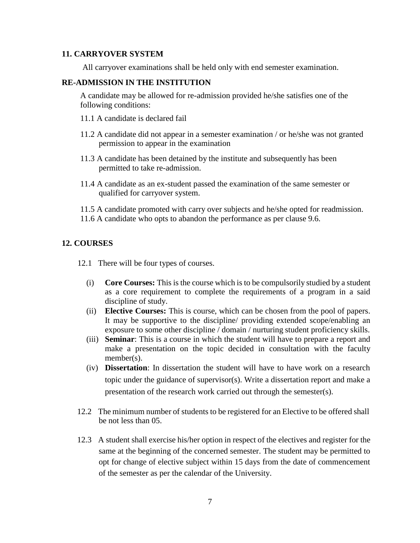#### **11. CARRYOVER SYSTEM**

All carryover examinations shall be held only with end semester examination.

#### **RE-ADMISSION IN THE INSTITUTION**

A candidate may be allowed for re-admission provided he/she satisfies one of the following conditions:

- 11.1 A candidate is declared fail
- 11.2 A candidate did not appear in a semester examination / or he/she was not granted permission to appear in the examination
- 11.3 A candidate has been detained by the institute and subsequently has been permitted to take re-admission.
- 11.4 A candidate as an ex-student passed the examination of the same semester or qualified for carryover system.
- 11.5 A candidate promoted with carry over subjects and he/she opted for readmission.
- 11.6 A candidate who opts to abandon the performance as per clause 9.6.

#### **12. COURSES**

12.1 There will be four types of courses.

- (i) **Core Courses:** This is the course which is to be compulsorily studied by a student as a core requirement to complete the requirements of a program in a said discipline of study.
- (ii) **Elective Courses:** This is course, which can be chosen from the pool of papers. It may be supportive to the discipline/ providing extended scope/enabling an exposure to some other discipline / domain / nurturing student proficiency skills.
- (iii) **Seminar**: This is a course in which the student will have to prepare a report and make a presentation on the topic decided in consultation with the faculty member(s).
- (iv) **Dissertation**: In dissertation the student will have to have work on a research topic under the guidance of supervisor(s). Write a dissertation report and make a presentation of the research work carried out through the semester(s).
- 12.2 The minimum number of students to be registered for an Elective to be offered shall be not less than 05.
- 12.3 A student shall exercise his/her option in respect of the electives and register for the same at the beginning of the concerned semester. The student may be permitted to opt for change of elective subject within 15 days from the date of commencement of the semester as per the calendar of the University.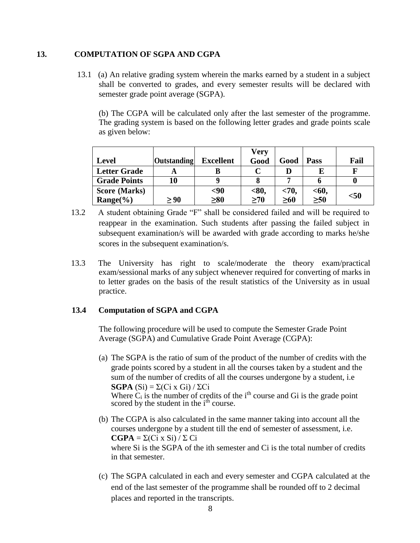#### **13. COMPUTATION OF SGPA AND CGPA**

13.1 (a) An relative grading system wherein the marks earned by a student in a subject shall be converted to grades, and every semester results will be declared with semester grade point average (SGPA).

(b) The CGPA will be calculated only after the last semester of the programme. The grading system is based on the following letter grades and grade points scale as given below:

|                     |                    |                  | Very      |           |             |        |
|---------------------|--------------------|------------------|-----------|-----------|-------------|--------|
| <b>Level</b>        | <b>Outstanding</b> | <b>Excellent</b> | Good      | Good      | <b>Pass</b> | Fail   |
| <b>Letter Grade</b> |                    |                  |           |           |             |        |
| <b>Grade Points</b> | 10                 |                  |           |           |             |        |
| Score (Marks)       |                    | $90$             | < 80,     | < 70,     | $60$        |        |
| $Range(\%)$         | $\geq 90$          | $\geq 80$        | $\geq 70$ | $\geq 60$ | $\geq 50$   | $<$ 50 |

- 13.2 A student obtaining Grade "F" shall be considered failed and will be required to reappear in the examination. Such students after passing the failed subject in subsequent examination/s will be awarded with grade according to marks he/she scores in the subsequent examination/s.
- 13.3 The University has right to scale/moderate the theory exam/practical exam/sessional marks of any subject whenever required for converting of marks in to letter grades on the basis of the result statistics of the University as in usual practice.

#### **13.4 Computation of SGPA and CGPA**

The following procedure will be used to compute the Semester Grade Point Average (SGPA) and Cumulative Grade Point Average (CGPA):

- (a) The SGPA is the ratio of sum of the product of the number of credits with the grade points scored by a student in all the courses taken by a student and the sum of the number of credits of all the courses undergone by a student, i.e **SGPA** (Si) =  $\Sigma$ (Ci x Gi) /  $\Sigma$ Ci Where  $\dot{C}_i$  is the number of credits of the i<sup>th</sup> course and Gi is the grade point scored by the student in the i<sup>th</sup> course.
- (b) The CGPA is also calculated in the same manner taking into account all the courses undergone by a student till the end of semester of assessment, i.e. **CGPA** =  $\Sigma$ (Ci x Si) / Σ Ci where Si is the SGPA of the ith semester and Ci is the total number of credits in that semester.
- (c) The SGPA calculated in each and every semester and CGPA calculated at the end of the last semester of the programme shall be rounded off to 2 decimal places and reported in the transcripts.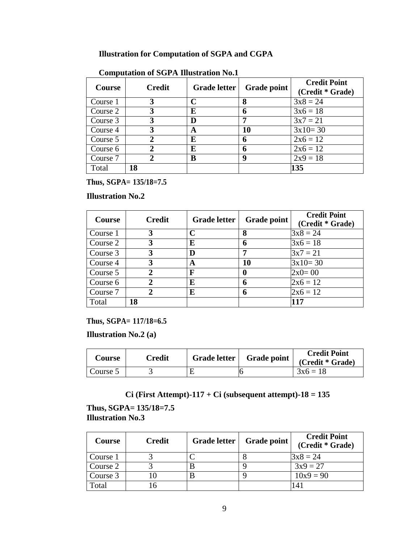## **Illustration for Computation of SGPA and CGPA**

| -<br><b>Course</b> | <b>Credit</b> | <b>Grade letter</b> | <b>Grade point</b> | <b>Credit Point</b><br>(Credit * Grade) |
|--------------------|---------------|---------------------|--------------------|-----------------------------------------|
| Course 1           |               |                     | 8                  | $3x8 = 24$                              |
| Course 2           |               | E                   | 6                  | $3x6 = 18$                              |
| Course 3           | 3             | D                   | 7                  | $3x7 = 21$                              |
| Course 4           |               | A                   | 10                 | $3x10=30$                               |
| Course 5           |               | E                   | 6                  | $2x6 = 12$                              |
| Course 6           |               | E                   | 6                  | $2x6 = 12$                              |
| Course 7           |               | B                   | 9                  | $2x9 = 18$                              |
| Total              | 18            |                     |                    | 135                                     |

## **Computation of SGPA Illustration No.1**

**Thus, SGPA= 135/18=7.5**

#### **Illustration No.2**

| <b>Course</b> | <b>Credit</b> | <b>Grade letter</b> | Grade point | <b>Credit Point</b><br>(Credit * Grade) |
|---------------|---------------|---------------------|-------------|-----------------------------------------|
| Course 1      |               | C                   | 8           | $3x8 = 24$                              |
| Course 2      | 3             | E                   | 6           | $3x6 = 18$                              |
| Course 3      | 3             | D                   | 7           | $3x7 = 21$                              |
| Course 4      | 3             | A                   | <b>10</b>   | $3x10=30$                               |
| Course 5      | ን             | F                   | 0           | $2x0=00$                                |
| Course 6      |               | E                   | 6           | $2x6 = 12$                              |
| Course 7      |               | E                   | 6           | $2x6 = 12$                              |
| Total         | 18            |                     |             | 117                                     |

**Thus, SGPA= 117/18=6.5**

**Illustration No.2 (a)**

| <b>Course</b> | Credit | Grade letter | <b>Grade point</b> | <b>Credit Point</b><br>(Credit * Grade) |
|---------------|--------|--------------|--------------------|-----------------------------------------|
| Course 5      |        |              |                    | $3x6 = 18$                              |

## **Ci (First Attempt)-117 + Ci (subsequent attempt)-18 = 135**

**Thus, SGPA= 135/18=7.5 Illustration No.3**

| Course   | <b>Credit</b> | <b>Grade letter</b> | <b>Grade point</b> | <b>Credit Point</b><br>(Credit * Grade) |
|----------|---------------|---------------------|--------------------|-----------------------------------------|
| Course 1 |               |                     |                    | $3x8 = 24$                              |
| Course 2 |               |                     |                    | $3x9 = 27$                              |
| Course 3 |               |                     |                    | $10x9 = 90$                             |
| Total    | .6            |                     |                    | 141                                     |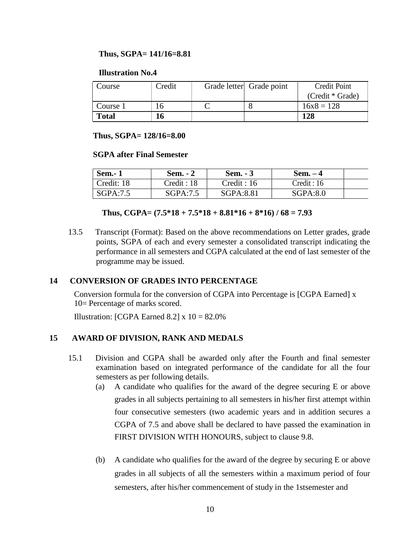#### **Thus, SGPA= 141/16=8.81**

#### **Illustration No.4**

| Course       | Credit | Grade letter Grade point | Credit Point     |
|--------------|--------|--------------------------|------------------|
|              |        |                          | (Credit * Grade) |
| Course 1     | 16     |                          | $16x8 = 128$     |
| <b>Total</b> | 16     |                          | 128              |

**Thus, SGPA= 128/16=8.00**

#### **SGPA after Final Semester**

| <b>Sem.-1</b> | <b>Sem.</b> - 2 | Sem. $-3$   | Sem. – 4    |  |
|---------------|-----------------|-------------|-------------|--|
| Credit: 18    | Credit : 18     | Credit : 16 | Credit : 16 |  |
| SGPA:7.5      | SGPA:7.5        | SGPA:8.81   | SGPA:8.0    |  |

#### **Thus,**  $CGPA = (7.5*18 + 7.5*18 + 8.81*16 + 8*16) / 68 = 7.93$

13.5 Transcript (Format): Based on the above recommendations on Letter grades, grade points, SGPA of each and every semester a consolidated transcript indicating the performance in all semesters and CGPA calculated at the end of last semester of the programme may be issued.

#### **14 CONVERSION OF GRADES INTO PERCENTAGE**

Conversion formula for the conversion of CGPA into Percentage is [CGPA Earned] x 10= Percentage of marks scored.

Illustration: [CGPA Earned  $8.2$ ] x  $10 = 82.0\%$ 

#### **15 AWARD OF DIVISION, RANK AND MEDALS**

- 15.1 Division and CGPA shall be awarded only after the Fourth and final semester examination based on integrated performance of the candidate for all the four semesters as per following details.
	- (a) A candidate who qualifies for the award of the degree securing E or above grades in all subjects pertaining to all semesters in his/her first attempt within four consecutive semesters (two academic years and in addition secures a CGPA of 7.5 and above shall be declared to have passed the examination in FIRST DIVISION WITH HONOURS, subject to clause 9.8.
	- (b) A candidate who qualifies for the award of the degree by securing E or above grades in all subjects of all the semesters within a maximum period of four semesters, after his/her commencement of study in the 1stsemester and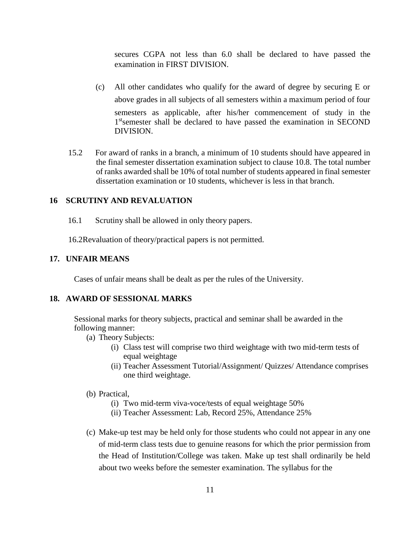secures CGPA not less than 6.0 shall be declared to have passed the examination in FIRST DIVISION.

- (c) All other candidates who qualify for the award of degree by securing E or above grades in all subjects of all semesters within a maximum period of four semesters as applicable, after his/her commencement of study in the 1<sup>st</sup>semester shall be declared to have passed the examination in SECOND DIVISION.
- 15.2 For award of ranks in a branch, a minimum of 10 students should have appeared in the final semester dissertation examination subject to clause 10.8. The total number of ranks awarded shall be 10% of total number of students appeared in final semester dissertation examination or 10 students, whichever is less in that branch.

#### **16 SCRUTINY AND REVALUATION**

16.1 Scrutiny shall be allowed in only theory papers.

16.2Revaluation of theory/practical papers is not permitted.

#### **17. UNFAIR MEANS**

Cases of unfair means shall be dealt as per the rules of the University.

#### **18. AWARD OF SESSIONAL MARKS**

Sessional marks for theory subjects, practical and seminar shall be awarded in the following manner:

- (a) Theory Subjects:
	- (i) Class test will comprise two third weightage with two mid-term tests of equal weightage
	- (ii) Teacher Assessment Tutorial/Assignment/ Quizzes/ Attendance comprises one third weightage.
- (b) Practical,
	- (i) Two mid-term viva-voce/tests of equal weightage 50%
	- (ii) Teacher Assessment: Lab, Record 25%, Attendance 25%
- (c) Make-up test may be held only for those students who could not appear in any one of mid-term class tests due to genuine reasons for which the prior permission from the Head of Institution/College was taken. Make up test shall ordinarily be held about two weeks before the semester examination. The syllabus for the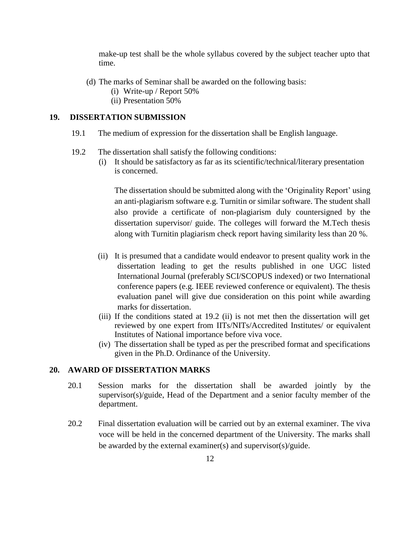make-up test shall be the whole syllabus covered by the subject teacher upto that time.

- (d) The marks of Seminar shall be awarded on the following basis:
	- (i) Write-up / Report 50%
	- (ii) Presentation 50%

#### **19. DISSERTATION SUBMISSION**

- 19.1 The medium of expression for the dissertation shall be English language.
- 19.2 The dissertation shall satisfy the following conditions:
	- (i) It should be satisfactory as far as its scientific/technical/literary presentation is concerned.

The dissertation should be submitted along with the 'Originality Report' using an anti-plagiarism software e.g. Turnitin or similar software. The student shall also provide a certificate of non-plagiarism duly countersigned by the dissertation supervisor/ guide. The colleges will forward the M.Tech thesis along with Turnitin plagiarism check report having similarity less than 20 %.

- (ii) It is presumed that a candidate would endeavor to present quality work in the dissertation leading to get the results published in one UGC listed International Journal (preferably SCI/SCOPUS indexed) or two International conference papers (e.g. IEEE reviewed conference or equivalent). The thesis evaluation panel will give due consideration on this point while awarding marks for dissertation.
- (iii) If the conditions stated at 19.2 (ii) is not met then the dissertation will get reviewed by one expert from IITs/NITs/Accredited Institutes/ or equivalent Institutes of National importance before viva voce.
- (iv) The dissertation shall be typed as per the prescribed format and specifications given in the Ph.D. Ordinance of the University.

#### **20. AWARD OF DISSERTATION MARKS**

- 20.1 Session marks for the dissertation shall be awarded jointly by the supervisor(s)/guide, Head of the Department and a senior faculty member of the department.
- 20.2 Final dissertation evaluation will be carried out by an external examiner. The viva voce will be held in the concerned department of the University. The marks shall be awarded by the external examiner(s) and supervisor(s)/guide.